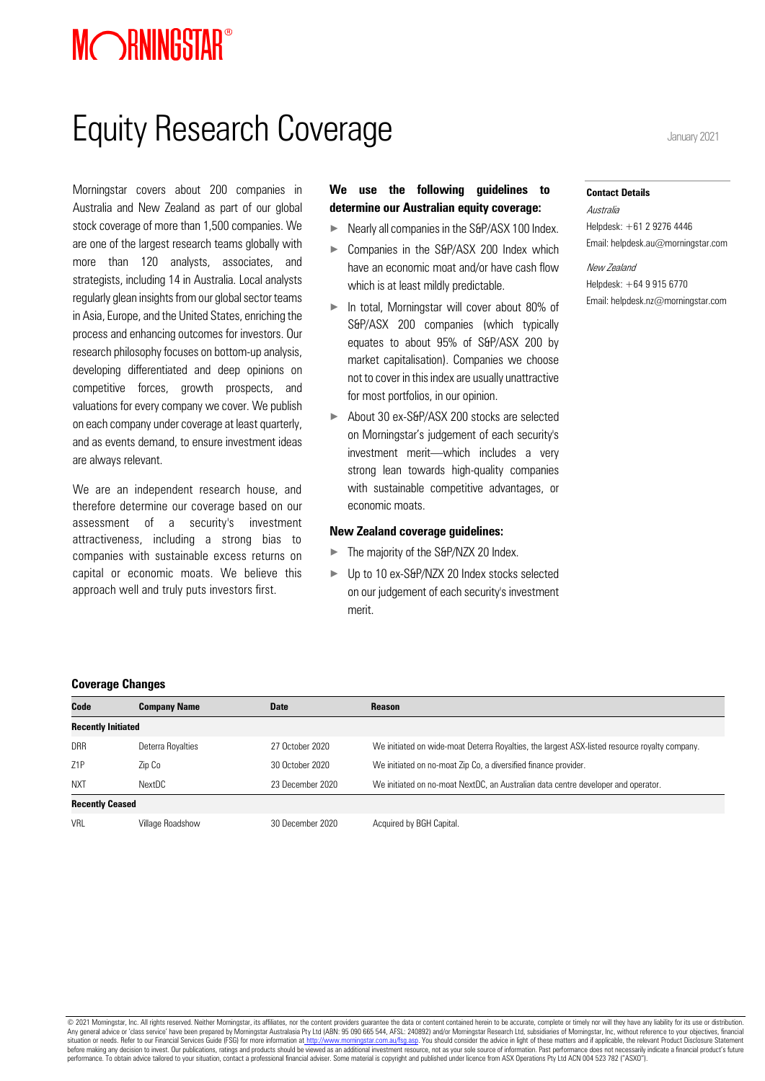# MORNINGSTAR<sup>®</sup>

# Equity Research Coverage January 2021

Morningstar covers about 200 companies in Australia and New Zealand as part of our global stock coverage of more than 1,500 companies. We are one of the largest research teams globally with more than 120 analysts, associates, and strategists, including 14 in Australia. Local analysts regularly glean insights from our global sector teams in Asia, Europe, and the United States, enriching the process and enhancing outcomes for investors. Our research philosophy focuses on bottom-up analysis, developing differentiated and deep opinions on competitive forces, growth prospects, and valuations for every company we cover. We publish on each company under coverage at least quarterly, and as events demand, to ensure investment ideas are always relevant.

We are an independent research house, and therefore determine our coverage based on our assessment of a security's investment attractiveness, including a strong bias to companies with sustainable excess returns on capital or economic moats. We believe this approach well and truly puts investors first.

# **We use the following guidelines to determine our Australian equity coverage:**

- ► Nearly all companies in the S&P/ASX 100 Index.
- ► Companies in the S&P/ASX 200 Index which have an economic moat and/or have cash flow which is at least mildly predictable.
- In total, Morningstar will cover about 80% of S&P/ASX 200 companies (which typically equates to about 95% of S&P/ASX 200 by market capitalisation). Companies we choose not to cover in this index are usually unattractive for most portfolios, in our opinion.
- ▶ About 30 ex-S&P/ASX 200 stocks are selected on Morningstar's judgement of each security's investment merit—which includes a very strong lean towards high-quality companies with sustainable competitive advantages, or economic moats.

#### **New Zealand coverage guidelines:**

- The majority of the S&P/NZX 20 Index.
- ▶ Up to 10 ex-S&P/NZX 20 Index stocks selected on our judgement of each security's investment merit.

#### **Contact Details**

Australia Helpdesk: +61 2 9276 4446 Email: helpdesk.au@morningstar.com

New Zealand Helpdesk: +64 9 915 6770 Email: helpdesk.nz@morningstar.com

#### **Coverage Changes**

| Code                      | <b>Company Name</b> | <b>Date</b>      | <b>Reason</b>                                                                                 |
|---------------------------|---------------------|------------------|-----------------------------------------------------------------------------------------------|
| <b>Recently Initiated</b> |                     |                  |                                                                                               |
| <b>DRR</b>                | Deterra Royalties   | 27 October 2020  | We initiated on wide-moat Deterra Royalties, the largest ASX-listed resource royalty company. |
| 71P                       | Zip Co              | 30 October 2020  | We initiated on no-moat Zip Co, a diversified finance provider.                               |
| <b>NXT</b>                | NextDC              | 23 December 2020 | We initiated on no-moat NextDC, an Australian data centre developer and operator.             |
| <b>Recently Ceased</b>    |                     |                  |                                                                                               |
| <b>VRI</b>                | Village Roadshow    | 30 December 2020 | Acquired by BGH Capital.                                                                      |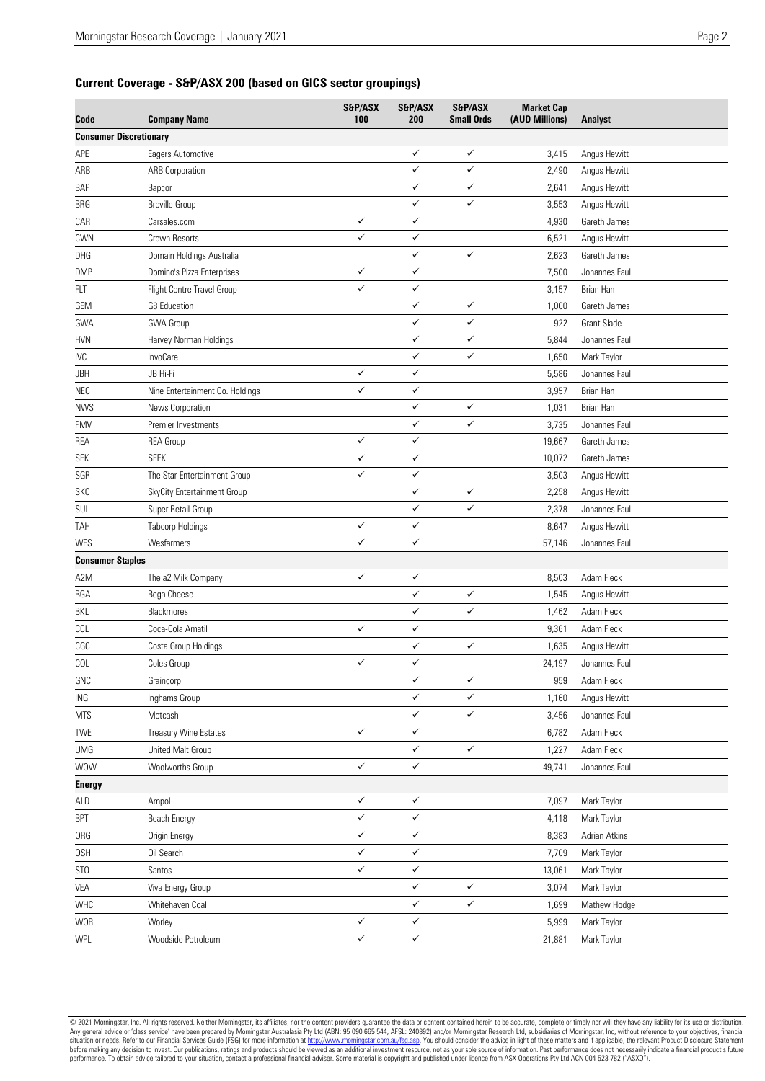# **Current Coverage - S&P/ASX 200 (based on GICS sector groupings)**

| Code                          | <b>Company Name</b>             | S&P/ASX<br>100 | S&P/ASX<br>200 | S&P/ASX<br><b>Small Ords</b> | <b>Market Cap</b><br>(AUD Millions) | <b>Analyst</b>     |
|-------------------------------|---------------------------------|----------------|----------------|------------------------------|-------------------------------------|--------------------|
| <b>Consumer Discretionary</b> |                                 |                |                |                              |                                     |                    |
| APE                           | Eagers Automotive               |                | ✓              | ✓                            | 3,415                               | Angus Hewitt       |
| ARB                           | <b>ARB Corporation</b>          |                | ✓              | ✓                            | 2,490                               | Angus Hewitt       |
| <b>BAP</b>                    | Bapcor                          |                | ✓              | ✓                            | 2,641                               | Angus Hewitt       |
| BRG                           | <b>Breville Group</b>           |                | $\checkmark$   | ✓                            | 3,553                               | Angus Hewitt       |
| CAR                           | Carsales.com                    | ✓              | ✓              |                              | 4,930                               | Gareth James       |
| <b>CWN</b>                    | Crown Resorts                   | ✓              | $\checkmark$   |                              | 6,521                               | Angus Hewitt       |
| DHG                           | Domain Holdings Australia       |                | ✓              | ✓                            | 2,623                               | Gareth James       |
| <b>DMP</b>                    | Domino's Pizza Enterprises      | ✓              | ✓              |                              | 7,500                               | Johannes Faul      |
| <b>FLT</b>                    | Flight Centre Travel Group      | ✓              | ✓              |                              | 3,157                               | Brian Han          |
| GEM                           | <b>G8 Education</b>             |                | ✓              | ✓                            | 1,000                               | Gareth James       |
| GWA                           | <b>GWA Group</b>                |                | ✓              | ✓                            | 922                                 | <b>Grant Slade</b> |
| <b>HVN</b>                    | Harvey Norman Holdings          |                | ✓              | ✓                            | 5,844                               | Johannes Faul      |
| <b>IVC</b>                    | InvoCare                        |                | ✓              | ✓                            | 1,650                               | Mark Taylor        |
| JBH                           | JB Hi-Fi                        | ✓              | $\checkmark$   |                              | 5,586                               | Johannes Faul      |
| NEC                           | Nine Entertainment Co. Holdings | ✓              | ✓              |                              | 3,957                               | Brian Han          |
| <b>NWS</b>                    | News Corporation                |                | $\checkmark$   | ✓                            | 1,031                               | Brian Han          |
| <b>PMV</b>                    | Premier Investments             |                | ✓              | ✓                            | 3,735                               | Johannes Faul      |
| REA                           | <b>REA Group</b>                | ✓              | ✓              |                              | 19,667                              | Gareth James       |
| SEK                           | <b>SEEK</b>                     | ✓              | ✓              |                              | 10,072                              | Gareth James       |
| SGR                           | The Star Entertainment Group    | ✓              | ✓              |                              | 3,503                               | Angus Hewitt       |
| <b>SKC</b>                    | SkyCity Entertainment Group     |                | ✓              | ✓                            | 2,258                               | Angus Hewitt       |
| SUL                           | Super Retail Group              |                | ✓              | ✓                            | 2,378                               | Johannes Faul      |
| TAH                           | <b>Tabcorp Holdings</b>         | ✓              | ✓              |                              | 8,647                               | Angus Hewitt       |
| WES                           | Wesfarmers                      | $\checkmark$   | ✓              |                              | 57,146                              | Johannes Faul      |
| <b>Consumer Staples</b>       |                                 |                |                |                              |                                     |                    |
| A2M                           | The a2 Milk Company             | $\checkmark$   | ✓              |                              | 8,503                               | Adam Fleck         |
| BGA                           | Bega Cheese                     |                | ✓              | ✓                            | 1,545                               | Angus Hewitt       |
| BKL                           | Blackmores                      |                | ✓              | ✓                            | 1,462                               | Adam Fleck         |
| CCL                           | Coca-Cola Amatil                | ✓              | ✓              |                              | 9,361                               | Adam Fleck         |
| CGC                           | Costa Group Holdings            |                | $\checkmark$   | ✓                            | 1,635                               | Angus Hewitt       |
| COL                           | Coles Group                     | ✓              | ✓              |                              | 24,197                              | Johannes Faul      |
|                               |                                 |                | ✓              | ✓                            |                                     |                    |
| GNC                           | Graincorp                       |                | ✓              | ✓                            | 959                                 | Adam Fleck         |
| ING                           | Inghams Group                   |                |                |                              | 1,160                               | Angus Hewitt       |
| <b>MTS</b>                    | Metcash                         |                | ✓              | ✓                            | 3,456                               | Johannes Faul      |
| TWE                           | Treasury Wine Estates           | ✓              | ✓              |                              | 6,782                               | Adam Fleck         |
| <b>UMG</b>                    | United Malt Group               |                | $\checkmark$   | ✓                            | 1,227                               | Adam Fleck         |
| <b>WOW</b>                    | Woolworths Group                | $\checkmark$   | ✓              |                              | 49,741                              | Johannes Faul      |
| <b>Energy</b>                 |                                 |                |                |                              |                                     |                    |
| ALD                           | Ampol                           | ✓              | ✓              |                              | 7,097                               | Mark Taylor        |
| <b>BPT</b>                    | <b>Beach Energy</b>             | $\checkmark$   | $\checkmark$   |                              | 4,118                               | Mark Taylor        |
| <b>ORG</b>                    | Origin Energy                   | ✓              | $\checkmark$   |                              | 8,383                               | Adrian Atkins      |
| 0SH                           | Oil Search                      | $\checkmark$   | ✓              |                              | 7,709                               | Mark Taylor        |
| ST <sub>0</sub>               | Santos                          | ✓              | $\checkmark$   |                              | 13,061                              | Mark Taylor        |
| VEA                           | Viva Energy Group               |                | $\checkmark$   | ✓                            | 3,074                               | Mark Taylor        |
| WHC                           | Whitehaven Coal                 |                | $\checkmark$   | $\checkmark$                 | 1,699                               | Mathew Hodge       |
| <b>WOR</b>                    | Worley                          | $\checkmark$   | $\checkmark$   |                              | 5,999                               | Mark Taylor        |
| WPL                           | Woodside Petroleum              | $\checkmark$   | $\checkmark$   |                              | 21,881                              | Mark Taylor        |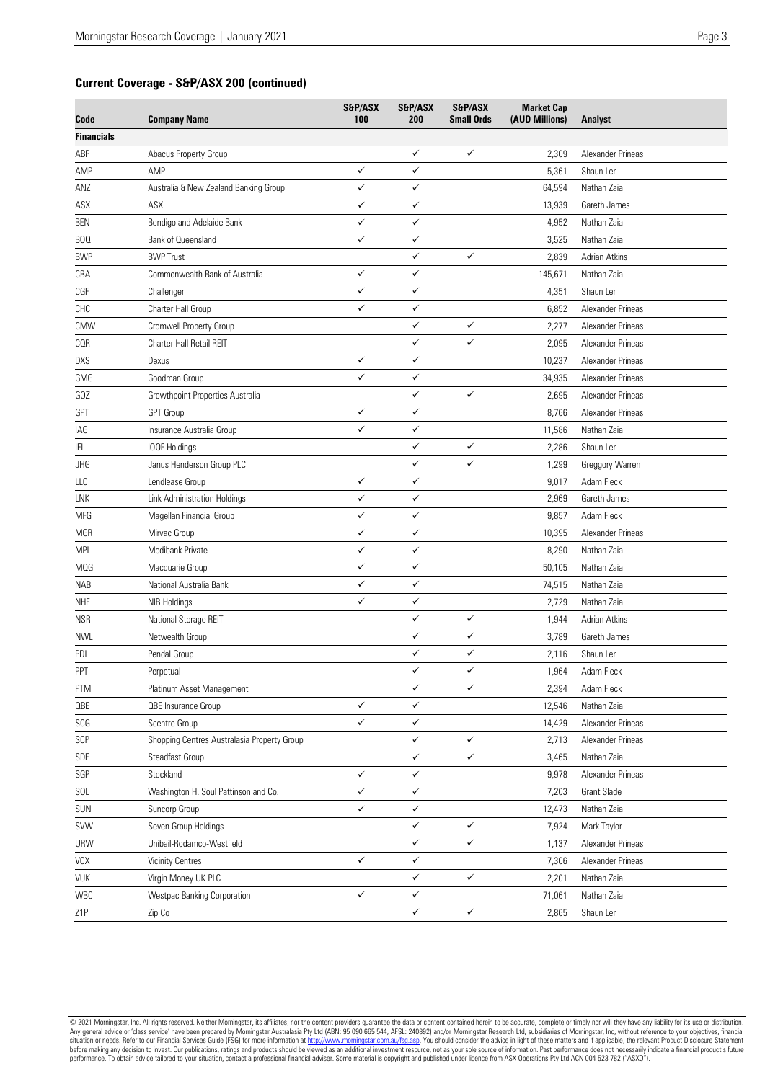## **Current Coverage - S&P/ASX 200 (continued)**

| <b>Financials</b><br>$\checkmark$<br>✓<br>ABP<br>Abacus Property Group<br>2,309<br>Alexander Prineas<br>✓<br>AMP<br>✓<br>5,361<br>Shaun Ler<br>Australia & New Zealand Banking Group<br>✓<br>$\checkmark$<br>64,594<br>ANZ<br>Nathan Zaia<br>✓<br>✓<br>ASX<br>ASX<br>13,939<br>Gareth James<br>✓<br>✓<br>Bendigo and Adelaide Bank<br><b>BEN</b><br>4,952<br>Nathan Zaia<br>✓<br>✓<br>Bank of Queensland<br>3,525<br>Nathan Zaia<br>BOQ<br><b>BWP Trust</b><br>✓<br>✓<br><b>BWP</b><br>2,839<br>Adrian Atkins<br>✓<br>CBA<br>✓<br>145,671<br>Nathan Zaia<br>Commonwealth Bank of Australia<br>CGF<br>✓<br>✓<br>4,351<br>Challenger<br>Shaun Ler<br>✓<br>CHC<br>Charter Hall Group<br>✓<br>6,852<br>Alexander Prineas<br>Cromwell Property Group<br>CMW<br>✓<br>✓<br>2,277<br>Alexander Prineas<br>✓<br>✓<br>COR<br>Charter Hall Retail REIT<br>2,095<br>Alexander Prineas<br>✓<br>✓<br>10,237<br>Alexander Prineas<br>Dexus<br>✓<br>✓<br>GMG<br>Goodman Group<br>34,935<br>Alexander Prineas<br>$\checkmark$<br>Growthpoint Properties Australia<br>✓<br>2,695<br>Alexander Prineas<br><b>GPT</b><br>✓<br>✓<br>8,766<br><b>GPT</b> Group<br>Alexander Prineas<br>✓<br>✓<br>Insurance Australia Group<br>11,586<br>Nathan Zaia<br>IAG<br>✓<br>✓<br>2,286<br>Shaun Ler<br>IFL<br>IOOF Holdings<br>Janus Henderson Group PLC<br>✓<br>✓<br>1,299<br>Greggory Warren<br>JHG<br>✓<br>✓<br>9,017<br>LLC<br>Lendlease Group<br>Adam Fleck<br>✓<br>✓<br>2,969<br>LNK<br>Link Administration Holdings<br>Gareth James<br>✓<br>✓<br>9,857<br>MFG<br>Magellan Financial Group<br>Adam Fleck<br>Mirvac Group<br>10,395<br>Alexander Prineas<br>MGR<br>✓<br>✓<br>✓<br>✓<br>8,290<br>Nathan Zaia<br><b>MPL</b><br>Medibank Private<br>✓<br>✓<br><b>MOG</b><br>Macquarie Group<br>50,105<br>Nathan Zaia<br>✓<br>✓<br>NAB<br>National Australia Bank<br>74,515<br>Nathan Zaia<br>✓<br>✓<br>2,729<br>Nathan Zaia<br><b>NHF</b><br><b>NIB Holdings</b><br>✓<br>✓<br>National Storage REIT<br><b>NSR</b><br>1,944<br>Adrian Atkins<br>✓<br>✓<br>Netwealth Group<br>3,789<br><b>NWL</b><br>Gareth James<br>✓<br>✓<br>PDL<br>Pendal Group<br>2,116<br>Shaun Ler<br>✓<br>✓<br>PPT<br>Perpetual<br>1,964<br>Adam Fleck<br>✓<br>✓<br>2,394<br>PTM<br>Platinum Asset Management<br>Adam Fleck<br>✓<br>✓<br><b>OBE</b><br><b>QBE</b> Insurance Group<br>12,546<br>Nathan Zaia<br>$SCG$<br>✓<br>✓<br>Scentre Group<br>14,429<br>Alexander Prineas<br>SCP<br>Shopping Centres Australasia Property Group<br>✓<br>✓<br>2,713<br>Alexander Prineas<br>✓<br>✓<br>SDF<br>Steadfast Group<br>3,465<br>Nathan Zaia<br>✓<br>✓<br>SGP<br>Stockland<br>9,978<br>Alexander Prineas<br>$\checkmark$<br>$\checkmark$<br>SOL<br>Washington H. Soul Pattinson and Co.<br>7,203<br>Grant Slade<br>✓<br>✓<br>SUN<br>Nathan Zaia<br>Suncorp Group<br>12,473<br>Seven Group Holdings<br>✓<br>$\checkmark$<br>SVW<br>7,924<br>Mark Taylor<br>Unibail-Rodamco-Westfield<br>✓<br>✓<br><b>URW</b><br>1,137<br>Alexander Prineas<br>$\checkmark$<br>$\checkmark$<br><b>Vicinity Centres</b><br>VCX<br>7,306<br>Alexander Prineas<br>$\checkmark$<br>$\checkmark$<br>Virgin Money UK PLC<br><b>VUK</b><br>2,201<br>Nathan Zaia<br>$\checkmark$<br>✓<br>WBC<br>Westpac Banking Corporation<br>71,061<br>Nathan Zaia<br>$\checkmark$<br>$\checkmark$ | Code       | <b>Company Name</b> | S&P/ASX<br>100 | S&P/ASX<br>200 | S&P/ASX<br><b>Small Ords</b> | <b>Market Cap</b><br>(AUD Millions) | <b>Analyst</b> |
|-----------------------------------------------------------------------------------------------------------------------------------------------------------------------------------------------------------------------------------------------------------------------------------------------------------------------------------------------------------------------------------------------------------------------------------------------------------------------------------------------------------------------------------------------------------------------------------------------------------------------------------------------------------------------------------------------------------------------------------------------------------------------------------------------------------------------------------------------------------------------------------------------------------------------------------------------------------------------------------------------------------------------------------------------------------------------------------------------------------------------------------------------------------------------------------------------------------------------------------------------------------------------------------------------------------------------------------------------------------------------------------------------------------------------------------------------------------------------------------------------------------------------------------------------------------------------------------------------------------------------------------------------------------------------------------------------------------------------------------------------------------------------------------------------------------------------------------------------------------------------------------------------------------------------------------------------------------------------------------------------------------------------------------------------------------------------------------------------------------------------------------------------------------------------------------------------------------------------------------------------------------------------------------------------------------------------------------------------------------------------------------------------------------------------------------------------------------------------------------------------------------------------------------------------------------------------------------------------------------------------------------------------------------------------------------------------------------------------------------------------------------------------------------------------------------------------------------------------------------------------------------------------------------------------------------------------------------------------------------------------------------------------------------------------------------------------------------------------------------------------------------------------------------------------------------------------------------------------------------------------------------------------------------------------|------------|---------------------|----------------|----------------|------------------------------|-------------------------------------|----------------|
|                                                                                                                                                                                                                                                                                                                                                                                                                                                                                                                                                                                                                                                                                                                                                                                                                                                                                                                                                                                                                                                                                                                                                                                                                                                                                                                                                                                                                                                                                                                                                                                                                                                                                                                                                                                                                                                                                                                                                                                                                                                                                                                                                                                                                                                                                                                                                                                                                                                                                                                                                                                                                                                                                                                                                                                                                                                                                                                                                                                                                                                                                                                                                                                                                                                                                               |            |                     |                |                |                              |                                     |                |
|                                                                                                                                                                                                                                                                                                                                                                                                                                                                                                                                                                                                                                                                                                                                                                                                                                                                                                                                                                                                                                                                                                                                                                                                                                                                                                                                                                                                                                                                                                                                                                                                                                                                                                                                                                                                                                                                                                                                                                                                                                                                                                                                                                                                                                                                                                                                                                                                                                                                                                                                                                                                                                                                                                                                                                                                                                                                                                                                                                                                                                                                                                                                                                                                                                                                                               |            |                     |                |                |                              |                                     |                |
|                                                                                                                                                                                                                                                                                                                                                                                                                                                                                                                                                                                                                                                                                                                                                                                                                                                                                                                                                                                                                                                                                                                                                                                                                                                                                                                                                                                                                                                                                                                                                                                                                                                                                                                                                                                                                                                                                                                                                                                                                                                                                                                                                                                                                                                                                                                                                                                                                                                                                                                                                                                                                                                                                                                                                                                                                                                                                                                                                                                                                                                                                                                                                                                                                                                                                               | AMP        |                     |                |                |                              |                                     |                |
|                                                                                                                                                                                                                                                                                                                                                                                                                                                                                                                                                                                                                                                                                                                                                                                                                                                                                                                                                                                                                                                                                                                                                                                                                                                                                                                                                                                                                                                                                                                                                                                                                                                                                                                                                                                                                                                                                                                                                                                                                                                                                                                                                                                                                                                                                                                                                                                                                                                                                                                                                                                                                                                                                                                                                                                                                                                                                                                                                                                                                                                                                                                                                                                                                                                                                               |            |                     |                |                |                              |                                     |                |
|                                                                                                                                                                                                                                                                                                                                                                                                                                                                                                                                                                                                                                                                                                                                                                                                                                                                                                                                                                                                                                                                                                                                                                                                                                                                                                                                                                                                                                                                                                                                                                                                                                                                                                                                                                                                                                                                                                                                                                                                                                                                                                                                                                                                                                                                                                                                                                                                                                                                                                                                                                                                                                                                                                                                                                                                                                                                                                                                                                                                                                                                                                                                                                                                                                                                                               |            |                     |                |                |                              |                                     |                |
|                                                                                                                                                                                                                                                                                                                                                                                                                                                                                                                                                                                                                                                                                                                                                                                                                                                                                                                                                                                                                                                                                                                                                                                                                                                                                                                                                                                                                                                                                                                                                                                                                                                                                                                                                                                                                                                                                                                                                                                                                                                                                                                                                                                                                                                                                                                                                                                                                                                                                                                                                                                                                                                                                                                                                                                                                                                                                                                                                                                                                                                                                                                                                                                                                                                                                               |            |                     |                |                |                              |                                     |                |
|                                                                                                                                                                                                                                                                                                                                                                                                                                                                                                                                                                                                                                                                                                                                                                                                                                                                                                                                                                                                                                                                                                                                                                                                                                                                                                                                                                                                                                                                                                                                                                                                                                                                                                                                                                                                                                                                                                                                                                                                                                                                                                                                                                                                                                                                                                                                                                                                                                                                                                                                                                                                                                                                                                                                                                                                                                                                                                                                                                                                                                                                                                                                                                                                                                                                                               |            |                     |                |                |                              |                                     |                |
|                                                                                                                                                                                                                                                                                                                                                                                                                                                                                                                                                                                                                                                                                                                                                                                                                                                                                                                                                                                                                                                                                                                                                                                                                                                                                                                                                                                                                                                                                                                                                                                                                                                                                                                                                                                                                                                                                                                                                                                                                                                                                                                                                                                                                                                                                                                                                                                                                                                                                                                                                                                                                                                                                                                                                                                                                                                                                                                                                                                                                                                                                                                                                                                                                                                                                               |            |                     |                |                |                              |                                     |                |
|                                                                                                                                                                                                                                                                                                                                                                                                                                                                                                                                                                                                                                                                                                                                                                                                                                                                                                                                                                                                                                                                                                                                                                                                                                                                                                                                                                                                                                                                                                                                                                                                                                                                                                                                                                                                                                                                                                                                                                                                                                                                                                                                                                                                                                                                                                                                                                                                                                                                                                                                                                                                                                                                                                                                                                                                                                                                                                                                                                                                                                                                                                                                                                                                                                                                                               |            |                     |                |                |                              |                                     |                |
|                                                                                                                                                                                                                                                                                                                                                                                                                                                                                                                                                                                                                                                                                                                                                                                                                                                                                                                                                                                                                                                                                                                                                                                                                                                                                                                                                                                                                                                                                                                                                                                                                                                                                                                                                                                                                                                                                                                                                                                                                                                                                                                                                                                                                                                                                                                                                                                                                                                                                                                                                                                                                                                                                                                                                                                                                                                                                                                                                                                                                                                                                                                                                                                                                                                                                               |            |                     |                |                |                              |                                     |                |
|                                                                                                                                                                                                                                                                                                                                                                                                                                                                                                                                                                                                                                                                                                                                                                                                                                                                                                                                                                                                                                                                                                                                                                                                                                                                                                                                                                                                                                                                                                                                                                                                                                                                                                                                                                                                                                                                                                                                                                                                                                                                                                                                                                                                                                                                                                                                                                                                                                                                                                                                                                                                                                                                                                                                                                                                                                                                                                                                                                                                                                                                                                                                                                                                                                                                                               |            |                     |                |                |                              |                                     |                |
|                                                                                                                                                                                                                                                                                                                                                                                                                                                                                                                                                                                                                                                                                                                                                                                                                                                                                                                                                                                                                                                                                                                                                                                                                                                                                                                                                                                                                                                                                                                                                                                                                                                                                                                                                                                                                                                                                                                                                                                                                                                                                                                                                                                                                                                                                                                                                                                                                                                                                                                                                                                                                                                                                                                                                                                                                                                                                                                                                                                                                                                                                                                                                                                                                                                                                               |            |                     |                |                |                              |                                     |                |
|                                                                                                                                                                                                                                                                                                                                                                                                                                                                                                                                                                                                                                                                                                                                                                                                                                                                                                                                                                                                                                                                                                                                                                                                                                                                                                                                                                                                                                                                                                                                                                                                                                                                                                                                                                                                                                                                                                                                                                                                                                                                                                                                                                                                                                                                                                                                                                                                                                                                                                                                                                                                                                                                                                                                                                                                                                                                                                                                                                                                                                                                                                                                                                                                                                                                                               |            |                     |                |                |                              |                                     |                |
|                                                                                                                                                                                                                                                                                                                                                                                                                                                                                                                                                                                                                                                                                                                                                                                                                                                                                                                                                                                                                                                                                                                                                                                                                                                                                                                                                                                                                                                                                                                                                                                                                                                                                                                                                                                                                                                                                                                                                                                                                                                                                                                                                                                                                                                                                                                                                                                                                                                                                                                                                                                                                                                                                                                                                                                                                                                                                                                                                                                                                                                                                                                                                                                                                                                                                               | <b>DXS</b> |                     |                |                |                              |                                     |                |
|                                                                                                                                                                                                                                                                                                                                                                                                                                                                                                                                                                                                                                                                                                                                                                                                                                                                                                                                                                                                                                                                                                                                                                                                                                                                                                                                                                                                                                                                                                                                                                                                                                                                                                                                                                                                                                                                                                                                                                                                                                                                                                                                                                                                                                                                                                                                                                                                                                                                                                                                                                                                                                                                                                                                                                                                                                                                                                                                                                                                                                                                                                                                                                                                                                                                                               |            |                     |                |                |                              |                                     |                |
|                                                                                                                                                                                                                                                                                                                                                                                                                                                                                                                                                                                                                                                                                                                                                                                                                                                                                                                                                                                                                                                                                                                                                                                                                                                                                                                                                                                                                                                                                                                                                                                                                                                                                                                                                                                                                                                                                                                                                                                                                                                                                                                                                                                                                                                                                                                                                                                                                                                                                                                                                                                                                                                                                                                                                                                                                                                                                                                                                                                                                                                                                                                                                                                                                                                                                               | GOZ        |                     |                |                |                              |                                     |                |
|                                                                                                                                                                                                                                                                                                                                                                                                                                                                                                                                                                                                                                                                                                                                                                                                                                                                                                                                                                                                                                                                                                                                                                                                                                                                                                                                                                                                                                                                                                                                                                                                                                                                                                                                                                                                                                                                                                                                                                                                                                                                                                                                                                                                                                                                                                                                                                                                                                                                                                                                                                                                                                                                                                                                                                                                                                                                                                                                                                                                                                                                                                                                                                                                                                                                                               |            |                     |                |                |                              |                                     |                |
|                                                                                                                                                                                                                                                                                                                                                                                                                                                                                                                                                                                                                                                                                                                                                                                                                                                                                                                                                                                                                                                                                                                                                                                                                                                                                                                                                                                                                                                                                                                                                                                                                                                                                                                                                                                                                                                                                                                                                                                                                                                                                                                                                                                                                                                                                                                                                                                                                                                                                                                                                                                                                                                                                                                                                                                                                                                                                                                                                                                                                                                                                                                                                                                                                                                                                               |            |                     |                |                |                              |                                     |                |
|                                                                                                                                                                                                                                                                                                                                                                                                                                                                                                                                                                                                                                                                                                                                                                                                                                                                                                                                                                                                                                                                                                                                                                                                                                                                                                                                                                                                                                                                                                                                                                                                                                                                                                                                                                                                                                                                                                                                                                                                                                                                                                                                                                                                                                                                                                                                                                                                                                                                                                                                                                                                                                                                                                                                                                                                                                                                                                                                                                                                                                                                                                                                                                                                                                                                                               |            |                     |                |                |                              |                                     |                |
|                                                                                                                                                                                                                                                                                                                                                                                                                                                                                                                                                                                                                                                                                                                                                                                                                                                                                                                                                                                                                                                                                                                                                                                                                                                                                                                                                                                                                                                                                                                                                                                                                                                                                                                                                                                                                                                                                                                                                                                                                                                                                                                                                                                                                                                                                                                                                                                                                                                                                                                                                                                                                                                                                                                                                                                                                                                                                                                                                                                                                                                                                                                                                                                                                                                                                               |            |                     |                |                |                              |                                     |                |
|                                                                                                                                                                                                                                                                                                                                                                                                                                                                                                                                                                                                                                                                                                                                                                                                                                                                                                                                                                                                                                                                                                                                                                                                                                                                                                                                                                                                                                                                                                                                                                                                                                                                                                                                                                                                                                                                                                                                                                                                                                                                                                                                                                                                                                                                                                                                                                                                                                                                                                                                                                                                                                                                                                                                                                                                                                                                                                                                                                                                                                                                                                                                                                                                                                                                                               |            |                     |                |                |                              |                                     |                |
|                                                                                                                                                                                                                                                                                                                                                                                                                                                                                                                                                                                                                                                                                                                                                                                                                                                                                                                                                                                                                                                                                                                                                                                                                                                                                                                                                                                                                                                                                                                                                                                                                                                                                                                                                                                                                                                                                                                                                                                                                                                                                                                                                                                                                                                                                                                                                                                                                                                                                                                                                                                                                                                                                                                                                                                                                                                                                                                                                                                                                                                                                                                                                                                                                                                                                               |            |                     |                |                |                              |                                     |                |
|                                                                                                                                                                                                                                                                                                                                                                                                                                                                                                                                                                                                                                                                                                                                                                                                                                                                                                                                                                                                                                                                                                                                                                                                                                                                                                                                                                                                                                                                                                                                                                                                                                                                                                                                                                                                                                                                                                                                                                                                                                                                                                                                                                                                                                                                                                                                                                                                                                                                                                                                                                                                                                                                                                                                                                                                                                                                                                                                                                                                                                                                                                                                                                                                                                                                                               |            |                     |                |                |                              |                                     |                |
|                                                                                                                                                                                                                                                                                                                                                                                                                                                                                                                                                                                                                                                                                                                                                                                                                                                                                                                                                                                                                                                                                                                                                                                                                                                                                                                                                                                                                                                                                                                                                                                                                                                                                                                                                                                                                                                                                                                                                                                                                                                                                                                                                                                                                                                                                                                                                                                                                                                                                                                                                                                                                                                                                                                                                                                                                                                                                                                                                                                                                                                                                                                                                                                                                                                                                               |            |                     |                |                |                              |                                     |                |
|                                                                                                                                                                                                                                                                                                                                                                                                                                                                                                                                                                                                                                                                                                                                                                                                                                                                                                                                                                                                                                                                                                                                                                                                                                                                                                                                                                                                                                                                                                                                                                                                                                                                                                                                                                                                                                                                                                                                                                                                                                                                                                                                                                                                                                                                                                                                                                                                                                                                                                                                                                                                                                                                                                                                                                                                                                                                                                                                                                                                                                                                                                                                                                                                                                                                                               |            |                     |                |                |                              |                                     |                |
|                                                                                                                                                                                                                                                                                                                                                                                                                                                                                                                                                                                                                                                                                                                                                                                                                                                                                                                                                                                                                                                                                                                                                                                                                                                                                                                                                                                                                                                                                                                                                                                                                                                                                                                                                                                                                                                                                                                                                                                                                                                                                                                                                                                                                                                                                                                                                                                                                                                                                                                                                                                                                                                                                                                                                                                                                                                                                                                                                                                                                                                                                                                                                                                                                                                                                               |            |                     |                |                |                              |                                     |                |
|                                                                                                                                                                                                                                                                                                                                                                                                                                                                                                                                                                                                                                                                                                                                                                                                                                                                                                                                                                                                                                                                                                                                                                                                                                                                                                                                                                                                                                                                                                                                                                                                                                                                                                                                                                                                                                                                                                                                                                                                                                                                                                                                                                                                                                                                                                                                                                                                                                                                                                                                                                                                                                                                                                                                                                                                                                                                                                                                                                                                                                                                                                                                                                                                                                                                                               |            |                     |                |                |                              |                                     |                |
|                                                                                                                                                                                                                                                                                                                                                                                                                                                                                                                                                                                                                                                                                                                                                                                                                                                                                                                                                                                                                                                                                                                                                                                                                                                                                                                                                                                                                                                                                                                                                                                                                                                                                                                                                                                                                                                                                                                                                                                                                                                                                                                                                                                                                                                                                                                                                                                                                                                                                                                                                                                                                                                                                                                                                                                                                                                                                                                                                                                                                                                                                                                                                                                                                                                                                               |            |                     |                |                |                              |                                     |                |
|                                                                                                                                                                                                                                                                                                                                                                                                                                                                                                                                                                                                                                                                                                                                                                                                                                                                                                                                                                                                                                                                                                                                                                                                                                                                                                                                                                                                                                                                                                                                                                                                                                                                                                                                                                                                                                                                                                                                                                                                                                                                                                                                                                                                                                                                                                                                                                                                                                                                                                                                                                                                                                                                                                                                                                                                                                                                                                                                                                                                                                                                                                                                                                                                                                                                                               |            |                     |                |                |                              |                                     |                |
|                                                                                                                                                                                                                                                                                                                                                                                                                                                                                                                                                                                                                                                                                                                                                                                                                                                                                                                                                                                                                                                                                                                                                                                                                                                                                                                                                                                                                                                                                                                                                                                                                                                                                                                                                                                                                                                                                                                                                                                                                                                                                                                                                                                                                                                                                                                                                                                                                                                                                                                                                                                                                                                                                                                                                                                                                                                                                                                                                                                                                                                                                                                                                                                                                                                                                               |            |                     |                |                |                              |                                     |                |
|                                                                                                                                                                                                                                                                                                                                                                                                                                                                                                                                                                                                                                                                                                                                                                                                                                                                                                                                                                                                                                                                                                                                                                                                                                                                                                                                                                                                                                                                                                                                                                                                                                                                                                                                                                                                                                                                                                                                                                                                                                                                                                                                                                                                                                                                                                                                                                                                                                                                                                                                                                                                                                                                                                                                                                                                                                                                                                                                                                                                                                                                                                                                                                                                                                                                                               |            |                     |                |                |                              |                                     |                |
|                                                                                                                                                                                                                                                                                                                                                                                                                                                                                                                                                                                                                                                                                                                                                                                                                                                                                                                                                                                                                                                                                                                                                                                                                                                                                                                                                                                                                                                                                                                                                                                                                                                                                                                                                                                                                                                                                                                                                                                                                                                                                                                                                                                                                                                                                                                                                                                                                                                                                                                                                                                                                                                                                                                                                                                                                                                                                                                                                                                                                                                                                                                                                                                                                                                                                               |            |                     |                |                |                              |                                     |                |
|                                                                                                                                                                                                                                                                                                                                                                                                                                                                                                                                                                                                                                                                                                                                                                                                                                                                                                                                                                                                                                                                                                                                                                                                                                                                                                                                                                                                                                                                                                                                                                                                                                                                                                                                                                                                                                                                                                                                                                                                                                                                                                                                                                                                                                                                                                                                                                                                                                                                                                                                                                                                                                                                                                                                                                                                                                                                                                                                                                                                                                                                                                                                                                                                                                                                                               |            |                     |                |                |                              |                                     |                |
|                                                                                                                                                                                                                                                                                                                                                                                                                                                                                                                                                                                                                                                                                                                                                                                                                                                                                                                                                                                                                                                                                                                                                                                                                                                                                                                                                                                                                                                                                                                                                                                                                                                                                                                                                                                                                                                                                                                                                                                                                                                                                                                                                                                                                                                                                                                                                                                                                                                                                                                                                                                                                                                                                                                                                                                                                                                                                                                                                                                                                                                                                                                                                                                                                                                                                               |            |                     |                |                |                              |                                     |                |
|                                                                                                                                                                                                                                                                                                                                                                                                                                                                                                                                                                                                                                                                                                                                                                                                                                                                                                                                                                                                                                                                                                                                                                                                                                                                                                                                                                                                                                                                                                                                                                                                                                                                                                                                                                                                                                                                                                                                                                                                                                                                                                                                                                                                                                                                                                                                                                                                                                                                                                                                                                                                                                                                                                                                                                                                                                                                                                                                                                                                                                                                                                                                                                                                                                                                                               |            |                     |                |                |                              |                                     |                |
|                                                                                                                                                                                                                                                                                                                                                                                                                                                                                                                                                                                                                                                                                                                                                                                                                                                                                                                                                                                                                                                                                                                                                                                                                                                                                                                                                                                                                                                                                                                                                                                                                                                                                                                                                                                                                                                                                                                                                                                                                                                                                                                                                                                                                                                                                                                                                                                                                                                                                                                                                                                                                                                                                                                                                                                                                                                                                                                                                                                                                                                                                                                                                                                                                                                                                               |            |                     |                |                |                              |                                     |                |
|                                                                                                                                                                                                                                                                                                                                                                                                                                                                                                                                                                                                                                                                                                                                                                                                                                                                                                                                                                                                                                                                                                                                                                                                                                                                                                                                                                                                                                                                                                                                                                                                                                                                                                                                                                                                                                                                                                                                                                                                                                                                                                                                                                                                                                                                                                                                                                                                                                                                                                                                                                                                                                                                                                                                                                                                                                                                                                                                                                                                                                                                                                                                                                                                                                                                                               |            |                     |                |                |                              |                                     |                |
|                                                                                                                                                                                                                                                                                                                                                                                                                                                                                                                                                                                                                                                                                                                                                                                                                                                                                                                                                                                                                                                                                                                                                                                                                                                                                                                                                                                                                                                                                                                                                                                                                                                                                                                                                                                                                                                                                                                                                                                                                                                                                                                                                                                                                                                                                                                                                                                                                                                                                                                                                                                                                                                                                                                                                                                                                                                                                                                                                                                                                                                                                                                                                                                                                                                                                               |            |                     |                |                |                              |                                     |                |
|                                                                                                                                                                                                                                                                                                                                                                                                                                                                                                                                                                                                                                                                                                                                                                                                                                                                                                                                                                                                                                                                                                                                                                                                                                                                                                                                                                                                                                                                                                                                                                                                                                                                                                                                                                                                                                                                                                                                                                                                                                                                                                                                                                                                                                                                                                                                                                                                                                                                                                                                                                                                                                                                                                                                                                                                                                                                                                                                                                                                                                                                                                                                                                                                                                                                                               |            |                     |                |                |                              |                                     |                |
|                                                                                                                                                                                                                                                                                                                                                                                                                                                                                                                                                                                                                                                                                                                                                                                                                                                                                                                                                                                                                                                                                                                                                                                                                                                                                                                                                                                                                                                                                                                                                                                                                                                                                                                                                                                                                                                                                                                                                                                                                                                                                                                                                                                                                                                                                                                                                                                                                                                                                                                                                                                                                                                                                                                                                                                                                                                                                                                                                                                                                                                                                                                                                                                                                                                                                               |            |                     |                |                |                              |                                     |                |
|                                                                                                                                                                                                                                                                                                                                                                                                                                                                                                                                                                                                                                                                                                                                                                                                                                                                                                                                                                                                                                                                                                                                                                                                                                                                                                                                                                                                                                                                                                                                                                                                                                                                                                                                                                                                                                                                                                                                                                                                                                                                                                                                                                                                                                                                                                                                                                                                                                                                                                                                                                                                                                                                                                                                                                                                                                                                                                                                                                                                                                                                                                                                                                                                                                                                                               |            |                     |                |                |                              |                                     |                |
|                                                                                                                                                                                                                                                                                                                                                                                                                                                                                                                                                                                                                                                                                                                                                                                                                                                                                                                                                                                                                                                                                                                                                                                                                                                                                                                                                                                                                                                                                                                                                                                                                                                                                                                                                                                                                                                                                                                                                                                                                                                                                                                                                                                                                                                                                                                                                                                                                                                                                                                                                                                                                                                                                                                                                                                                                                                                                                                                                                                                                                                                                                                                                                                                                                                                                               |            |                     |                |                |                              |                                     |                |
|                                                                                                                                                                                                                                                                                                                                                                                                                                                                                                                                                                                                                                                                                                                                                                                                                                                                                                                                                                                                                                                                                                                                                                                                                                                                                                                                                                                                                                                                                                                                                                                                                                                                                                                                                                                                                                                                                                                                                                                                                                                                                                                                                                                                                                                                                                                                                                                                                                                                                                                                                                                                                                                                                                                                                                                                                                                                                                                                                                                                                                                                                                                                                                                                                                                                                               |            |                     |                |                |                              |                                     |                |
|                                                                                                                                                                                                                                                                                                                                                                                                                                                                                                                                                                                                                                                                                                                                                                                                                                                                                                                                                                                                                                                                                                                                                                                                                                                                                                                                                                                                                                                                                                                                                                                                                                                                                                                                                                                                                                                                                                                                                                                                                                                                                                                                                                                                                                                                                                                                                                                                                                                                                                                                                                                                                                                                                                                                                                                                                                                                                                                                                                                                                                                                                                                                                                                                                                                                                               |            |                     |                |                |                              |                                     |                |
|                                                                                                                                                                                                                                                                                                                                                                                                                                                                                                                                                                                                                                                                                                                                                                                                                                                                                                                                                                                                                                                                                                                                                                                                                                                                                                                                                                                                                                                                                                                                                                                                                                                                                                                                                                                                                                                                                                                                                                                                                                                                                                                                                                                                                                                                                                                                                                                                                                                                                                                                                                                                                                                                                                                                                                                                                                                                                                                                                                                                                                                                                                                                                                                                                                                                                               |            |                     |                |                |                              |                                     |                |
|                                                                                                                                                                                                                                                                                                                                                                                                                                                                                                                                                                                                                                                                                                                                                                                                                                                                                                                                                                                                                                                                                                                                                                                                                                                                                                                                                                                                                                                                                                                                                                                                                                                                                                                                                                                                                                                                                                                                                                                                                                                                                                                                                                                                                                                                                                                                                                                                                                                                                                                                                                                                                                                                                                                                                                                                                                                                                                                                                                                                                                                                                                                                                                                                                                                                                               | Z1P        | Zip Co              |                |                |                              | 2,865                               | Shaun Ler      |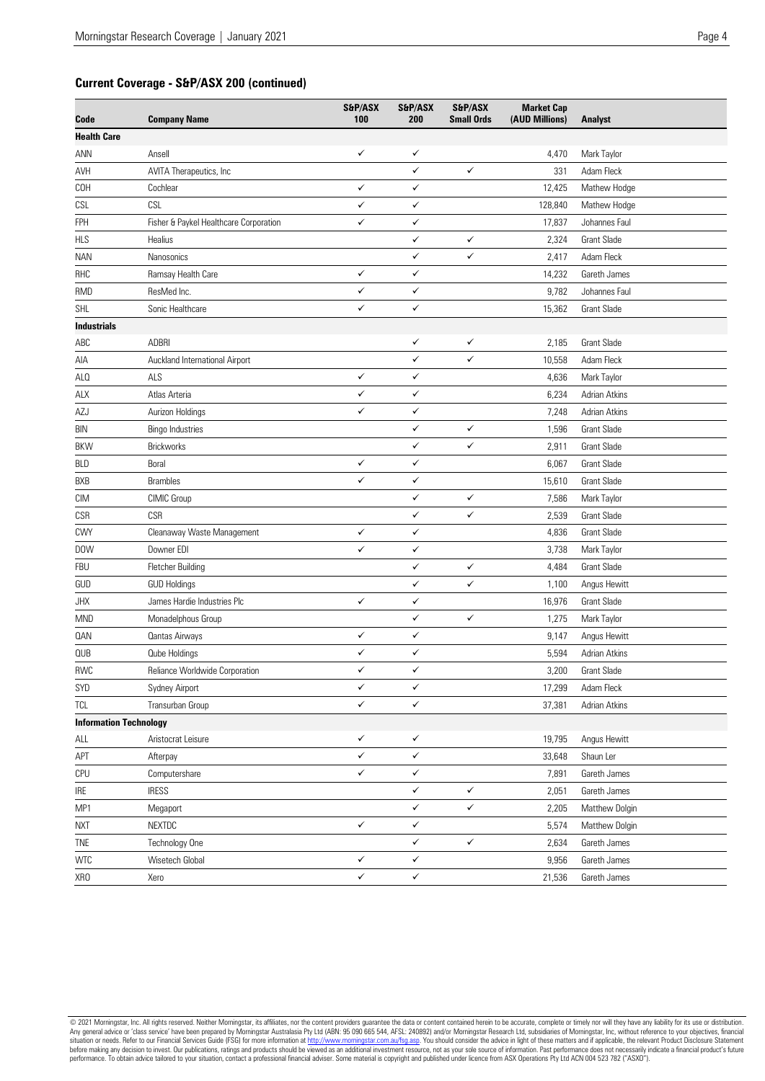## **Current Coverage - S&P/ASX 200 (continued)**

| Code                          | <b>Company Name</b>                    | S&P/ASX<br>100 | S&P/ASX<br>200 | S&P/ASX<br><b>Small Ords</b> | <b>Market Cap</b><br>(AUD Millions) | <b>Analyst</b>       |
|-------------------------------|----------------------------------------|----------------|----------------|------------------------------|-------------------------------------|----------------------|
| <b>Health Care</b>            |                                        |                |                |                              |                                     |                      |
| ANN                           | Ansell                                 | ✓              | ✓              |                              | 4,470                               | Mark Taylor          |
| AVH                           | AVITA Therapeutics, Inc                |                | ✓              | $\checkmark$                 | 331                                 | Adam Fleck           |
| COH                           | Cochlear                               | ✓              | ✓              |                              | 12,425                              | Mathew Hodge         |
| CSL                           | CSL                                    | ✓              | ✓              |                              | 128,840                             | Mathew Hodge         |
| <b>FPH</b>                    | Fisher & Paykel Healthcare Corporation | ✓              | ✓              |                              | 17,837                              | Johannes Faul        |
| <b>HLS</b>                    | Healius                                |                | $\checkmark$   | $\checkmark$                 | 2,324                               | <b>Grant Slade</b>   |
| NAN                           | Nanosonics                             |                | ✓              | ✓                            | 2,417                               | Adam Fleck           |
| RHC                           | Ramsay Health Care                     | ✓              | $\checkmark$   |                              | 14,232                              | Gareth James         |
| <b>RMD</b>                    | ResMed Inc.                            | ✓              | ✓              |                              | 9,782                               | Johannes Faul        |
| <b>SHL</b>                    | Sonic Healthcare                       | ✓              | $\checkmark$   |                              | 15,362                              | <b>Grant Slade</b>   |
| <b>Industrials</b>            |                                        |                |                |                              |                                     |                      |
| ABC                           | <b>ADBRI</b>                           |                | ✓              | ✓                            | 2,185                               | <b>Grant Slade</b>   |
| AIA                           | Auckland International Airport         |                | $\checkmark$   | ✓                            | 10,558                              | Adam Fleck           |
| ALO                           | ALS                                    | ✓              | ✓              |                              | 4,636                               | Mark Taylor          |
| ALX                           | Atlas Arteria                          | ✓              | $\checkmark$   |                              | 6,234                               | Adrian Atkins        |
| <b>AZJ</b>                    | Aurizon Holdings                       | ✓              | ✓              |                              | 7,248                               | Adrian Atkins        |
| BIN                           | <b>Bingo Industries</b>                |                | ✓              | ✓                            | 1,596                               | <b>Grant Slade</b>   |
| BKW                           | Brickworks                             |                | ✓              | ✓                            | 2,911                               | <b>Grant Slade</b>   |
| BLD                           | Boral                                  | ✓              | ✓              |                              | 6,067                               | <b>Grant Slade</b>   |
| <b>BXB</b>                    | <b>Brambles</b>                        | ✓              | ✓              |                              | 15,610                              | <b>Grant Slade</b>   |
| СIМ                           | CIMIC Group                            |                | ✓              | ✓                            | 7,586                               | Mark Taylor          |
| CSR                           | <b>CSR</b>                             |                | ✓              | ✓                            | 2,539                               | <b>Grant Slade</b>   |
| CWY                           | Cleanaway Waste Management             | ✓              | ✓              |                              | 4,836                               | <b>Grant Slade</b>   |
| DOW                           | Downer EDI                             | ✓              | $\checkmark$   |                              | 3,738                               | Mark Taylor          |
| <b>FBU</b>                    | Fletcher Building                      |                | ✓              | ✓                            | 4,484                               | <b>Grant Slade</b>   |
| GUD                           | <b>GUD Holdings</b>                    |                | ✓              | ✓                            | 1,100                               | Angus Hewitt         |
| <b>JHX</b>                    | James Hardie Industries Plc            | ✓              | ✓              |                              | 16,976                              | <b>Grant Slade</b>   |
| MND                           | Monadelphous Group                     |                | ✓              | ✓                            | 1,275                               | Mark Taylor          |
| 0AN                           | <b>Qantas Airways</b>                  | ✓              | $\checkmark$   |                              | 9,147                               | Angus Hewitt         |
| QUB                           | <b>Qube Holdings</b>                   | ✓              | $\checkmark$   |                              | 5,594                               | Adrian Atkins        |
| ${\sf RWC}$                   | Reliance Worldwide Corporation         | ✓              | ✓              |                              | 3,200                               | <b>Grant Slade</b>   |
| SYD                           | Sydney Airport                         | ✓              | ✓              |                              | 17,299                              | Adam Fleck           |
| <b>TCL</b>                    | Transurban Group                       | ✓              | $\checkmark$   |                              | 37,381                              | <b>Adrian Atkins</b> |
| <b>Information Technology</b> |                                        |                |                |                              |                                     |                      |
| ALL                           | Aristocrat Leisure                     | ✓              | ✓              |                              | 19,795                              | Angus Hewitt         |
| APT                           | Afterpay                               | $\checkmark$   | $\checkmark$   |                              | 33,648                              | Shaun Ler            |
| CPU                           | Computershare                          | ✓              | ✓              |                              | 7,891                               | Gareth James         |
| $\ensuremath{\mathsf{IRE}}$   | <b>IRESS</b>                           |                | ✓              | ✓                            | 2,051                               | Gareth James         |
| MP1                           | Megaport                               |                | ✓              | ✓                            | 2,205                               | Matthew Dolgin       |
| <b>NXT</b>                    | NEXTDC                                 | ✓              | ✓              |                              | 5,574                               | Matthew Dolgin       |
| <b>TNE</b>                    | Technology One                         |                | $\checkmark$   | $\checkmark$                 | 2,634                               | Gareth James         |
| <b>WTC</b>                    | Wisetech Global                        | ✓              | $\checkmark$   |                              | 9,956                               | Gareth James         |
| XRO                           | Xero                                   | $\checkmark$   | $\checkmark$   |                              | 21,536                              | Gareth James         |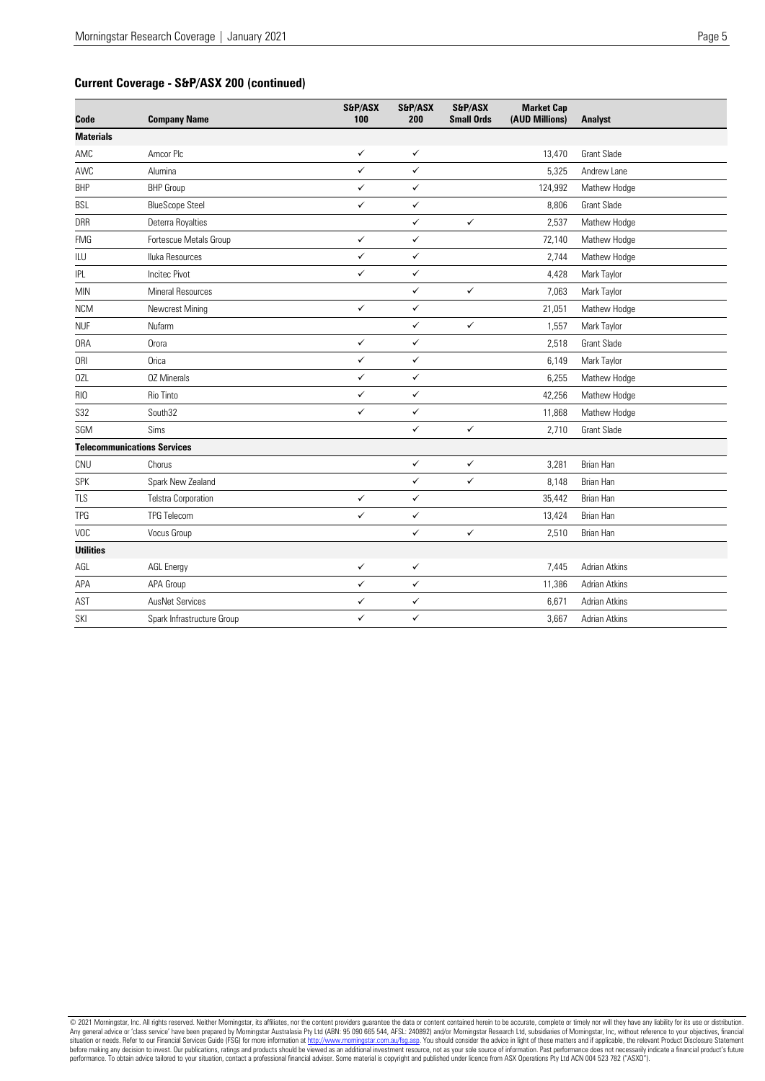# **Current Coverage - S&P/ASX 200 (continued)**

| Code             | <b>Company Name</b>                | S&P/ASX<br>100 | S&P/ASX<br>200 | S&P/ASX<br><b>Small Ords</b> | <b>Market Cap</b><br>(AUD Millions) | <b>Analyst</b>       |
|------------------|------------------------------------|----------------|----------------|------------------------------|-------------------------------------|----------------------|
| <b>Materials</b> |                                    |                |                |                              |                                     |                      |
| AMC              | Amcor Plc                          | ✓              | $\checkmark$   |                              | 13,470                              | <b>Grant Slade</b>   |
| AWC              | Alumina                            | ✓              | $\checkmark$   |                              | 5,325                               | Andrew Lane          |
| <b>BHP</b>       | <b>BHP</b> Group                   | ✓              | $\checkmark$   |                              | 124,992                             | Mathew Hodge         |
| <b>BSL</b>       | <b>BlueScope Steel</b>             | ✓              | ✓              |                              | 8,806                               | <b>Grant Slade</b>   |
| <b>DRR</b>       | Deterra Royalties                  |                | $\checkmark$   | $\checkmark$                 | 2,537                               | Mathew Hodge         |
| <b>FMG</b>       | Fortescue Metals Group             | ✓              | $\checkmark$   |                              | 72,140                              | Mathew Hodge         |
| ILU              | Iluka Resources                    | ✓              | $\checkmark$   |                              | 2,744                               | Mathew Hodge         |
| <b>IPL</b>       | <b>Incited Pivot</b>               | ✓              | $\checkmark$   |                              | 4,428                               | Mark Taylor          |
| <b>MIN</b>       | Mineral Resources                  |                | ✓              | $\checkmark$                 | 7,063                               | Mark Taylor          |
| <b>NCM</b>       | Newcrest Mining                    | $\checkmark$   | $\checkmark$   |                              | 21,051                              | Mathew Hodge         |
| <b>NUF</b>       | Nufarm                             |                | ✓              | $\checkmark$                 | 1,557                               | Mark Taylor          |
| <b>ORA</b>       | Orora                              | ✓              | ✓              |                              | 2,518                               | <b>Grant Slade</b>   |
| <b>ORI</b>       | Orica                              | ✓              | $\checkmark$   |                              | 6,149                               | Mark Taylor          |
| 0ZL              | <b>02 Minerals</b>                 | ✓              | $\checkmark$   |                              | 6,255                               | Mathew Hodge         |
| RIO              | Rio Tinto                          | $\checkmark$   | $\checkmark$   |                              | 42,256                              | Mathew Hodge         |
| <b>S32</b>       | South32                            | ✓              | ✓              |                              | 11,868                              | Mathew Hodge         |
| SGM              | Sims                               |                | $\checkmark$   | $\checkmark$                 | 2,710                               | <b>Grant Slade</b>   |
|                  | <b>Telecommunications Services</b> |                |                |                              |                                     |                      |
| CNU              | Chorus                             |                | $\checkmark$   | $\checkmark$                 | 3,281                               | Brian Han            |
| <b>SPK</b>       | Spark New Zealand                  |                | ✓              | ✓                            | 8,148                               | Brian Han            |
| <b>TLS</b>       | <b>Telstra Corporation</b>         | ✓              | $\checkmark$   |                              | 35,442                              | <b>Brian Han</b>     |
| <b>TPG</b>       | <b>TPG Telecom</b>                 | ✓              | $\checkmark$   |                              | 13,424                              | <b>Brian Han</b>     |
| VOC              | Vocus Group                        |                | $\checkmark$   | $\checkmark$                 | 2,510                               | Brian Han            |
| <b>Utilities</b> |                                    |                |                |                              |                                     |                      |
| AGL              | <b>AGL Energy</b>                  | $\checkmark$   | $\checkmark$   |                              | 7,445                               | <b>Adrian Atkins</b> |
| APA              | APA Group                          | ✓              | $\checkmark$   |                              | 11,386                              | <b>Adrian Atkins</b> |
| AST              | <b>AusNet Services</b>             | ✓              | ✓              |                              | 6,671                               | Adrian Atkins        |
| SKI              | Spark Infrastructure Group         | ✓              | ✓              |                              | 3,667                               | Adrian Atkins        |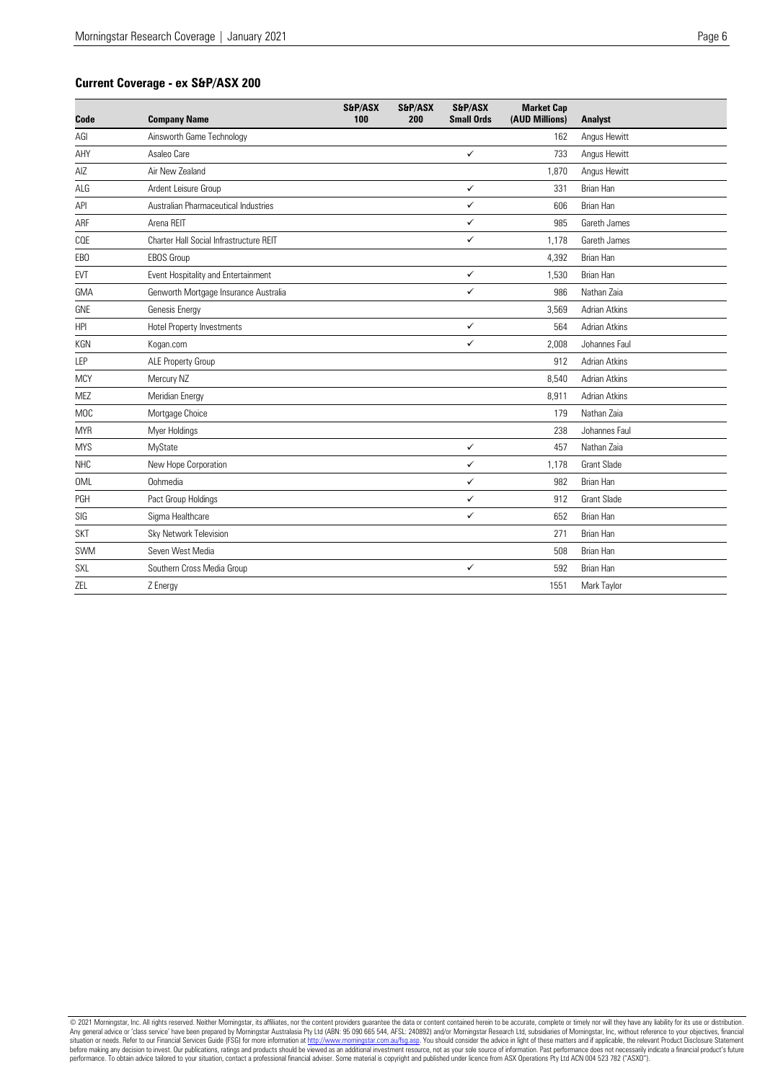#### **Current Coverage - ex S&P/ASX 200**

| Code             | <b>Company Name</b>                     | S&P/ASX<br>100 | S&P/ASX<br>200 | S&P/ASX<br><b>Small Ords</b> | <b>Market Cap</b><br>(AUD Millions) | <b>Analyst</b>       |
|------------------|-----------------------------------------|----------------|----------------|------------------------------|-------------------------------------|----------------------|
| AGI              | Ainsworth Game Technology               |                |                |                              | 162                                 | Angus Hewitt         |
| AHY              | Asaleo Care                             |                |                | $\checkmark$                 | 733                                 | Angus Hewitt         |
| AIZ              | Air New 7ealand                         |                |                |                              | 1,870                               | Angus Hewitt         |
| ALG              | Ardent Leisure Group                    |                |                | ✓                            | 331                                 | <b>Brian Han</b>     |
| API              | Australian Pharmaceutical Industries    |                |                | ✓                            | 606                                 | <b>Brian Han</b>     |
| ARF              | Arena RFIT                              |                |                | ✓                            | 985                                 | Gareth James         |
| COE              | Charter Hall Social Infrastructure REIT |                |                | ✓                            | 1,178                               | Gareth James         |
| EB <sub>0</sub>  | <b>EBOS Group</b>                       |                |                |                              | 4,392                               | <b>Brian Han</b>     |
| <b>EVT</b>       | Event Hospitality and Entertainment     |                |                | $\checkmark$                 | 1,530                               | <b>Brian Han</b>     |
| GMA              | Genworth Mortgage Insurance Australia   |                |                | ✓                            | 986                                 | Nathan Zaia          |
| GNE              | Genesis Energy                          |                |                |                              | 3,569                               | Adrian Atkins        |
| HPI              | Hotel Property Investments              |                |                | ✓                            | 564                                 | <b>Adrian Atkins</b> |
| KGN              | Kogan.com                               |                |                | ✓                            | 2,008                               | Johannes Faul        |
| LEP              | ALE Property Group                      |                |                |                              | 912                                 | <b>Adrian Atkins</b> |
| <b>MCY</b>       | Mercury NZ                              |                |                |                              | 8,540                               | <b>Adrian Atkins</b> |
| <b>MEZ</b>       | Meridian Energy                         |                |                |                              | 8,911                               | <b>Adrian Atkins</b> |
| M <sub>O</sub> C | Mortgage Choice                         |                |                |                              | 179                                 | Nathan Zaia          |
| <b>MYR</b>       | Myer Holdings                           |                |                |                              | 238                                 | Johannes Faul        |
| <b>MYS</b>       | MyState                                 |                |                | $\checkmark$                 | 457                                 | Nathan Zaia          |
| <b>NHC</b>       | New Hope Corporation                    |                |                | ✓                            | 1,178                               | <b>Grant Slade</b>   |
| <b>OML</b>       | Oohmedia                                |                |                | ✓                            | 982                                 | <b>Brian Han</b>     |
| PGH              | Pact Group Holdings                     |                |                | ✓                            | 912                                 | <b>Grant Slade</b>   |
| SIG              | Sigma Healthcare                        |                |                | ✓                            | 652                                 | Brian Han            |
| <b>SKT</b>       | Sky Network Television                  |                |                |                              | 271                                 | <b>Brian Han</b>     |
| SWM              | Seven West Media                        |                |                |                              | 508                                 | Brian Han            |
| <b>SXL</b>       | Southern Cross Media Group              |                |                | ✓                            | 592                                 | <b>Brian Han</b>     |
| ZEL              | Z Energy                                |                |                |                              | 1551                                | Mark Taylor          |